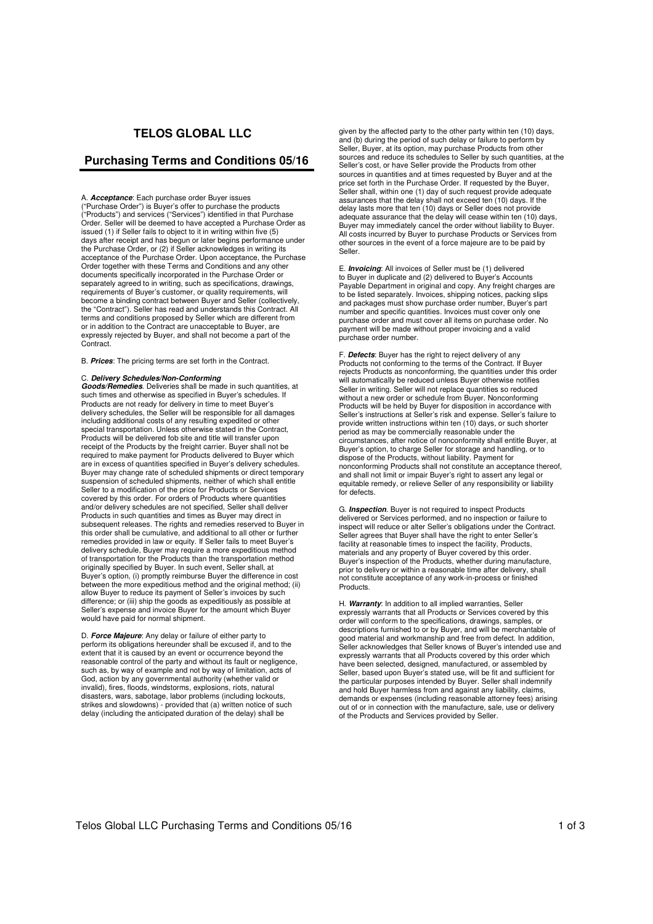# **TELOS GLOBAL LLC**

## **Purchasing Terms and Conditions 05/16**

A. **Acceptance**: Each purchase order Buyer issues ("Purchase Order") is Buyer's offer to purchase the products ("Products") and services ("Services") identified in that Purchase Order. Seller will be deemed to have accepted a Purchase Order as issued (1) if Seller fails to object to it in writing within five (5) days after receipt and has begun or later begins performance under the Purchase Order, or (2) if Seller acknowledges in writing its acceptance of the Purchase Order. Upon acceptance, the Purchase Order together with these Terms and Conditions and any other documents specifically incorporated in the Purchase Order or separately agreed to in writing, such as specifications, drawings, requirements of Buyer's customer, or quality requirements, will become a binding contract between Buyer and Seller (collectively, the "Contract"). Seller has read and understands this Contract. All terms and conditions proposed by Seller which are different from or in addition to the Contract are unacceptable to Buyer, are expressly rejected by Buyer, and shall not become a part of the Contract.

B. **Prices**: The pricing terms are set forth in the Contract.

### C. **Delivery Schedules/Non-Conforming**

**Goods/Remedies**. Deliveries shall be made in such quantities, at such times and otherwise as specified in Buyer's schedules. If Products are not ready for delivery in time to meet Buyer's delivery schedules, the Seller will be responsible for all damages including additional costs of any resulting expedited or other special transportation. Unless otherwise stated in the Contract Products will be delivered fob site and title will transfer upon receipt of the Products by the freight carrier. Buyer shall not be required to make payment for Products delivered to Buyer which are in excess of quantities specified in Buyer's delivery schedules. Buyer may change rate of scheduled shipments or direct temporary suspension of scheduled shipments, neither of which shall entitle Seller to a modification of the price for Products or Services covered by this order. For orders of Products where quantities and/or delivery schedules are not specified, Seller shall deliver Products in such quantities and times as Buyer may direct in subsequent releases. The rights and remedies reserved to Buyer in this order shall be cumulative, and additional to all other or further remedies provided in law or equity. If Seller fails to meet Buyer's delivery schedule, Buyer may require a more expeditious method of transportation for the Products than the transportation method originally specified by Buyer. In such event, Seller shall, at Buyer's option, (i) promptly reimburse Buyer the difference in cost between the more expeditious method and the original method; (ii) allow Buyer to reduce its payment of Seller's invoices by such difference; or (iii) ship the goods as expeditiously as possible at Seller's expense and invoice Buyer for the amount which Buyer would have paid for normal shipment.

D. **Force Majeure**: Any delay or failure of either party to perform its obligations hereunder shall be excused if, and to the extent that it is caused by an event or occurrence beyond the reasonable control of the party and without its fault or negligence, such as, by way of example and not by way of limitation, acts of God, action by any governmental authority (whether valid or invalid), fires, floods, windstorms, explosions, riots, natural disasters, wars, sabotage, labor problems (including lockouts, strikes and slowdowns) - provided that (a) written notice of such delay (including the anticipated duration of the delay) shall be

given by the affected party to the other party within ten (10) days, and (b) during the period of such delay or failure to perform by Seller, Buyer, at its option, may purchase Products from other sources and reduce its schedules to Seller by such quantities, at the Seller's cost, or have Seller provide the Products from other sources in quantities and at times requested by Buyer and at the price set forth in the Purchase Order. If requested by the Buyer, Seller shall, within one (1) day of such request provide adequate assurances that the delay shall not exceed ten (10) days. If the delay lasts more that ten (10) days or Seller does not provide adequate assurance that the delay will cease within ten (10) days, Buyer may immediately cancel the order without liability to Buyer. All costs incurred by Buyer to purchase Products or Services from other sources in the event of a force majeure are to be paid by Seller.

E. **Invoicing**: All invoices of Seller must be (1) delivered to Buyer in duplicate and (2) delivered to Buyer's Accounts Payable Department in original and copy. Any freight charges are to be listed separately. Invoices, shipping notices, packing slips and packages must show purchase order number, Buyer's part number and specific quantities. Invoices must cover only one purchase order and must cover all items on purchase order. No payment will be made without proper invoicing and a valid purchase order number.

F. **Defects**: Buyer has the right to reject delivery of any Products not conforming to the terms of the Contract. If Buyer rejects Products as nonconforming, the quantities under this order will automatically be reduced unless Buyer otherwise notifies Seller in writing. Seller will not replace quantities so reduced without a new order or schedule from Buyer. Nonconforming Products will be held by Buyer for disposition in accordance with Seller's instructions at Seller's risk and expense. Seller's failure to provide written instructions within ten (10) days, or such shorter period as may be commercially reasonable under the circumstances, after notice of nonconformity shall entitle Buyer, at Buyer's option, to charge Seller for storage and handling, or to dispose of the Products, without liability. Payment for nonconforming Products shall not constitute an acceptance thereof, and shall not limit or impair Buyer's right to assert any legal or equitable remedy, or relieve Seller of any responsibility or liability for defects.

G. **Inspection**. Buyer is not required to inspect Products delivered or Services performed, and no inspection or failure to inspect will reduce or alter Seller's obligations under the Contract. Seller agrees that Buyer shall have the right to enter Seller's facility at reasonable times to inspect the facility, Products, materials and any property of Buyer covered by this order. Buyer's inspection of the Products, whether during manufacture, prior to delivery or within a reasonable time after delivery, shall not constitute acceptance of any work-in-process or finished Products.

H. **Warranty**: In addition to all implied warranties, Seller expressly warrants that all Products or Services covered by this order will conform to the specifications, drawings, samples, or<br>descriptions furnished to or by Buyer, and will be merchantable of<br>good material and workmanship and free from defect. In addition,<br>Seller acknowledges that S expressly warrants that all Products covered by this order which have been selected, designed, manufactured, or assembled by Seller, based upon Buyer's stated use, will be fit and sufficient for the particular purposes intended by Buyer. Seller shall indemnify and hold Buyer harmless from and against any liability, claims, demands or expenses (including reasonable attorney fees) arising out of or in connection with the manufacture, sale, use or delivery of the Products and Services provided by Seller.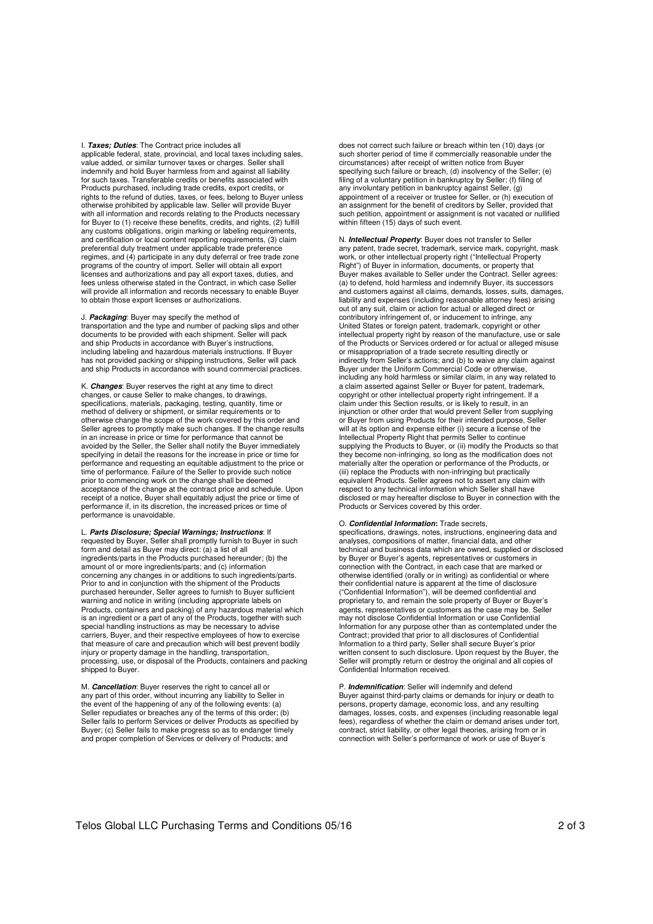I. **Taxes; Duties**: The Contract price includes all applicable federal, state, provincial, and local taxes including sales, value added, or similar turnover taxes or charges. Seller shall indemnify and hold Buyer harmless from and against all liability for such taxes. Transferable credits or benefits associated with Products purchased, including trade credits, export credits, or rights to the refund of duties, taxes, or fees, belong to Buyer unless otherwise prohibited by applicable law. Seller will provide Buyer with all information and records relating to the Products necessary for Buyer to (1) receive these benefits, credits, and rights, (2) fulfill any customs obligations, origin marking or labeling requirements, and certification or local content reporting requirements, (3) claim preferential duty treatment under applicable trade preference regimes, and (4) participate in any duty deferral or free trade zone programs of the country of import. Seller will obtain all export licenses and authorizations and pay all export taxes, duties, and fees unless otherwise stated in the Contract, in which case Seller will provide all information and records necessary to enable Buyer to obtain those export licenses or authorizations.

#### J. **Packaging**: Buyer may specify the method of

transportation and the type and number of packing slips and other documents to be provided with each shipment. Seller will pack and ship Products in accordance with Buyer's instructions, including labeling and hazardous materials instructions. If Buyer has not provided packing or shipping instructions, Seller will pack and ship Products in accordance with sound commercial practices.

K. **Changes**: Buyer reserves the right at any time to direct changes, or cause Seller to make changes, to drawings, specifications, materials, packaging, testing, quantity, time or method of delivery or shipment, or similar requirements or to otherwise change the scope of the work covered by this order and Seller agrees to promptly make such changes. If the change results in an increase in price or time for performance that cannot be avoided by the Seller, the Seller shall notify the Buyer immediately specifying in detail the reasons for the increase in price or time for performance and requesting an equitable adjustment to the price or time of performance. Failure of the Seller to provide such notice prior to commencing work on the change shall be deemed acceptance of the change at the contract price and schedule. Upon receipt of a notice, Buyer shall equitably adjust the price or time of performance if, in its discretion, the increased prices or time of performance is unavoidable.

L. **Parts Disclosure; Special Warnings; Instructions**: If requested by Buyer, Seller shall promptly furnish to Buyer in such form and detail as Buyer may direct: (a) a list of all ingredients/parts in the Products purchased hereunder; (b) the amount of or more ingredients/parts; and (c) information concerning any changes in or additions to such ingredients/parts. Prior to and in conjunction with the shipment of the Products purchased hereunder, Seller agrees to furnish to Buyer sufficient warning and notice in writing (including appropriate labels on Products, containers and packing) of any hazardous material which is an ingredient or a part of any of the Products, together with such special handling instructions as may be necessary to advise carriers, Buyer, and their respective employees of how to exercise that measure of care and precaution which will best prevent bodily injury or property damage in the handling, transportation, processing, use, or disposal of the Products, containers and packing shipped to Buyer.

M. **Cancellation**: Buyer reserves the right to cancel all or any part of this order, without incurring any liability to Seller in the event of the happening of any of the following events: (a) Seller repudiates or breaches any of the terms of this order; (b) Seller fails to perform Services or deliver Products as specified by Buyer; (c) Seller fails to make progress so as to endanger timely and proper completion of Services or delivery of Products; and

does not correct such failure or breach within ten (10) days (or such shorter period of time if commercially reasonable under the circumstances) after receipt of written notice from Buyer specifying such failure or breach, (d) insolvency of the Seller; (e) filing of a voluntary petition in bankruptcy by Seller; (f) filing of any involuntary petition in bankruptcy against Seller, (g) any interacting perfection comments, and appointment of a receiver or trustee for Seller, or (h) execution of an assignment for the benefit of creditors by Seller, provided that such petition, appointment or assignment is not vacated or nullified within fifteen (15) days of such event.

N. **Intellectual Property**: Buyer does not transfer to Seller any patent, trade secret, trademark, service mark, copyright, mask work, or other intellectual property right ("Intellectual Property Right") of Buyer in information, documents, or property that Buyer makes available to Seller under the Contract. Seller agrees: (a) to defend, hold harmless and indemnify Buyer, its successors and customers against all claims, demands, losses, suits, damages, liability and expenses (including reasonable attorney fees) arising out of any suit, claim or action for actual or alleged direct or contributory infringement of, or inducement to infringe, any United States or foreign patent, trademark, copyright or other intellectual property right by reason of the manufacture, use or sale of the Products or Services ordered or for actual or alleged misuse or misappropriation of a trade secrete resulting directly or indirectly from Seller's actions; and (b) to waive any claim against Buyer under the Uniform Commercial Code or otherwise, including any hold harmless or similar claim, in any way related to a claim asserted against Seller or Buyer for patent, trademark, copyright or other intellectual property right infringement. If a claim under this Section results, or is likely to result, in an injunction or other order that would prevent Seller from supplying or Buyer from using Products for their intended purpose, S will at its option and expense either (i) secure a license of the Intellectual Property Right that permits Seller to continue supplying the Products to Buyer, or (ii) modify the Products so that they become non-infringing, so long as the modification does not materially alter the operation or performance of the Products, or (iii) replace the Products with non-infringing but practically equivalent Products. Seller agrees not to assert any claim with respect to any technical information which Seller shall have disclosed or may hereafter disclose to Buyer in connection with the Products or Services covered by this order.

#### O. **Confidential Information:** Trade secrets,

specifications, drawings, notes, instructions, engineering data and analyses, compositions of matter, financial data, and other technical and business data which are owned, supplied or disclosed by Buyer or Buyer's agents, representatives or customers in connection with the Contract, in each case that are marked or otherwise identified (orally or in writing) as confidential or where their confidential nature is apparent at the time of disclosure ("Confidential Information"), will be deemed confidential and proprietary to, and remain the sole property of Buyer or Buyer's agents, representatives or customers as the case may be. Seller may not disclose Confidential Information or use Confidential Information for any purpose other than as contemplated under the Contract; provided that prior to all disclosures of Confidential Information to a third party, Seller shall secure Buyer's prior written consent to such disclosure. Upon request by the Buyer, the Seller will promptly return or destroy the original and all copies of Confidential Information received.

P. **Indemnification**: Seller will indemnify and defend Buyer against third-party claims or demands for injury or death to persons, property damage, economic loss, and any resulting damages, losses, costs, and expenses (including reasonable legal fees), regardless of whether the claim or demand arises under tort, contract, strict liability, or other legal theories, arising from or in connection with Seller's performance of work or use of Buyer's